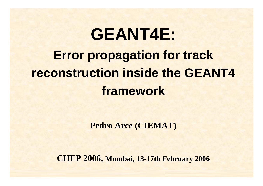# **GEANT4E: Error propagation for track reconstruction inside the GEANT4 framework**

**Pedro Arce (CIEMAT)**

**CHEP 2006, Mumbai, 13-17th February <sup>2006</sup>**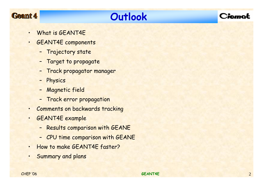### Geamt 4

# **Outlook**



- •What is GEANT4E
- • GEANT4E components
	- Trajectory state
	- Target to propagate
	- Track propagator manager
	- Physics
	- Magnetic field
	- Track error propagation
- •Comments on backwards tracking
- • GEANT4E example
	- Results comparison with GEANE
	- CPU time comparison with GEANE
- •How to make GEANT4E faster?
- •Summary and plans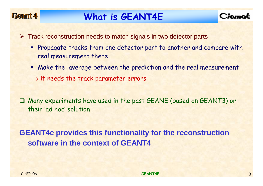### Geant 4

# **What is GEANT4E**



- ¾ Track reconstruction needs to match signals in two detector parts
	- **Propagate tracks from one detector part to another and compare with** real measurement there
	- Make the average between the prediction and the real measurement  $\Rightarrow$  it needs the track parameter errors

 Many experiments have used in the past GEANE (based on GEANT3) or their 'ad hoc' solution

**GEANT4e provides this functionality for the reconstruction software in the context of GEANT4**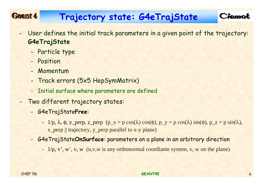#### Geamt 4 **Trajectory state: G4eTrajState**

- - User defines the initial track parameters in a given point of the trajectory: **G4eTrajState**
	- -Particle type
	- Position
	- Momentum
	- -Track errors (5x5 HepSymMatrix)
	- -Initial surface where parameters are defined
- - Two different trajectory states:
	- - G4eTrajState**Free**:
		- 1/p, λ, φ, y\_perp, z\_perp (p\_x = p cos(λ) cos(φ), p\_y = p cos(λ) sin(φ), p\_z = p sin(λ), x\_perp || trajectory, y\_perp parallel to x-y plane)
	- - G4eTrajState**OnSurface**: parameters on a plane in an arbitrary direction
		- 1/p, v', w', v, w (u,v,w is any orthonormal coordiante system, v, w on the plane)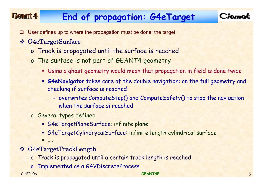#### Geamt 4 **End of propagation: G4eTarget**



- **□** User defines up to where the propagation must be done: the target
- G4eTargetSurface
	- <sup>o</sup> Track is propagated until the surface is reached
	- <sup>o</sup> The surface is not part of GEANT4 geometry
		- Using a ghost geometry would mean that propagation in field is done twice
		- **G4eNavigator** takes care of the double navigation: on the full geometry and checking if surface is reached
			- overwrites ComputeStep() and ComputeSafety() to stop the navigation when the surface si reached
	- <sup>o</sup> Several types defined
		- G4eTargetPlaneSurface: infinite plane
		- G4eTargetCylindrycalSurface: infinite length cylindrical surface
		- п ....
- G4eTargetTrackLength
	- <sup>o</sup> Track is propagated until a certain track length is reached
	- <sup>o</sup> Implemented as a G4VDiscreteProcess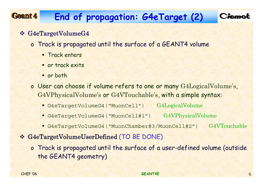#### Geamt 4 **End of propagation: G4eTarget (2)**



#### G4eTargetVolumeG4

- <sup>o</sup> Track is propagated until the surface of a GEANT4 volume
	- **Track enters**
	- **or track exits**
	- **or both**
- <sup>o</sup> User can choose if volume refers to one or many G4LogicalVolume's, G4VPhysicalVolume's or G4VTouchable's, with a simple syntax:
	- G4eTargetVolumeG4("MuonCell") G4LogicalVolume
	- G4eTargetVolumeG4("MuonCell#1") G4VPhysicalVolume
	- G4eTargetVolumeG4("MuonChamber#3/MuonCell#2") G4VTouchable
- G4eTargetVolumeUserDefined (TO BE DONE)
	- <sup>o</sup> Track is propagated until the surface of a user-defined volume (outside the GEANT4 geometry)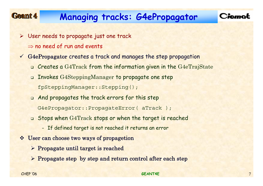#### Geant 4 **Managing tracks: G4ePropagator**



- ¾ User needs to propagate just one track  $\Rightarrow$  no need of run and events
- $\sqrt{ }$  G4ePropagator creates a track and manages the step propagation
	- $\, \textsf{\textbf{u}} \,$  Creates a  $\text{G4Track}$  from the information given in the  $\text{G4eTrajState}$
	- Invokes G4SteppingManager to propagate one step fpSteppingManager::Stepping();
	- And propagates the track errors for this step
		- G4ePropagator::PropagateError( aTrack );
	- Stops when G4Track stops or when the target is reached
		- If defined target is not reached it returns an error
- User can choose two ways of propagetion
	- $\triangleright$  Propagate until target is reached
	- ¾ Propagate step by step and return control after each step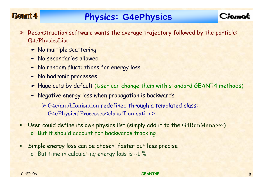### Geant 4

## **Physics: G4ePhysics**

- $\triangleright$  Reconstruction software wants the average trajectory followed by the particle: G4ePhysicsList
	- No multiple scattering
	- No secondaries allowed
	- No random fluctuations for energy loss
	- No hadronic processes
	- Huge cuts by default (User can change them with standard GEANT4 methods)
	- Negative energy loss when propagation is backwards
		- ¾ G4e/mu/hIonisation redefined through a templated class: G4ePhysicalProcesses<class Tionisation>
- п User could define its own physics list (simply add it to the G4RunManager) <sup>o</sup> But it should account for backwards tracking
- ٠ Simple energy loss can be chosen: faster but less precise
	- <sup>o</sup> But time in calculating energy loss is <sup>∼</sup>1 %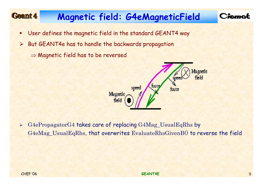#### Geant 4 **Magnetic field: G4eMagneticField**

### Ciemot

- ٠ User defines the magnetic field in the standard GEANT4 way
- ¾ But GEANT4e has to handle the backwards propagation
	- $\Rightarrow$  Magnetic field has to be reversed



 $\blacktriangleright$  G4ePropagatorG4 takes care of replacing G4Mag\_UsualEqRhs by G4eMag\_UsualEqRhs, that overwrites EvaluateRhsGivenB() to reverse the field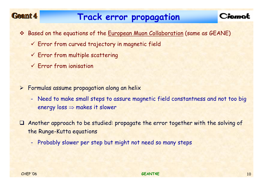### Geamt 4

### **Track error propagation**



- **Example 20 Septem** September 1 and the Survey Collation (same as GEANE)
	- $\checkmark$  Error from curved trajectory in magnetic field
	- $\checkmark$  Error from multiple scattering
	- $\checkmark$  Error from ionisation
- ¾ Formulas assume propagation along an helix
	- - Need to make small steps to assure magnetic field constantness and not too big energy  $loss \Rightarrow$  makes it slower
- **□**  Another approach to be studied: propagate the error together with the solving of the Runge-Kutta equations
	- -Probably slower per step but might not need so many steps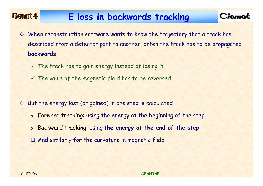#### Geant 4 **E loss in backwards tracking**

- When reconstruction software wants to know the trajectory that a track has described from a detector part to another, often the track has to be propagated **backwards**
	- $\checkmark$  The track has to gain energy instead of losing it
	- $\checkmark$  The value of the magnetic field has to be reversed
- $\frac{1}{2}$  But the energy lost (or gained) in one step is calculated
	- o Forward tracking: using the energy at the beginning of the step
	- o Backward tracking: using **the energy at the end of the step**
	- And similarly for the curvature in magnetic field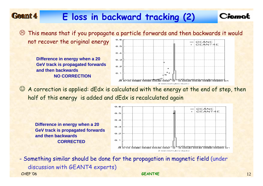# **E loss in backward tracking (2)**

 $\odot$  This means that if you propagate a particle forwards and then backwards it would 0. 6 not recover the original energy **GEANE** 

**Difference in energy when a 20 GeV track is propagated forwards and then backwardsNO CORRECTION**



Ciemot

☺ A correction is applied: dEdx is calculated with the energy at the end of step, then half of this energy is added and dEdx is recalculated again

**Difference in energy when a 20 GeV track is propagated forwards and then backwardsCORRECTED**



CHEP '06 **GEANT4E** $E$  (and  $\sim$  12 - Something similar should be done for the propagation in magnetic field (under discussion with GEANT4 experts)

Geamt 4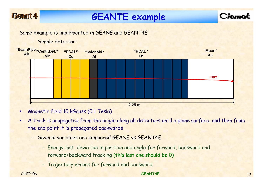### Geant 4

# **GEANTE example**



Same example is implemented in GEANE and GEANT4E

- Simple detector:



- п Magnetic field 10 kGauss (0.1 Tesla)
- $\blacksquare$  A track is propagated from the origin along all detectors until a plane surface, and then from the end point it is propagated backwards
	- Several variables are compared GEANE vs GEANT4E
		- Energy lost, deviation in position and angle for forward, backward and forward+backward tracking (this last one should be 0)
		- Trajectory errors for forward and backward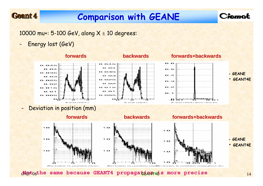### Geamt 4

-

# **Comparison with GEANE**

Ciemot

10000 mu+: 5-100 GeV, along  $X \pm 10$  degrees:

-Energy lost (GeV)



CHEP '06 **GEANT4E** 14 **Not the same because GEANT4 propagation is more precise**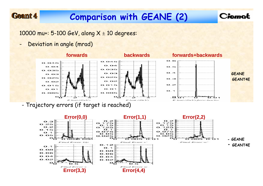# **Comparison with GEANE (2)**

10000 mu+: 5-100 GeV, along  $X \pm 10$  degrees:

-Deviation in angle (mrad)

Geant 4



Ciemat

-Trajectory errors (if target is reached)

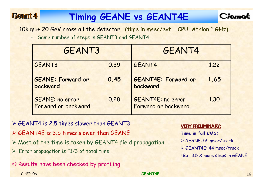# **Timing GEANE vs GEANT4E**



10k mu+ 20 GeV cross all the detector (time in msec/evt CPU: Athlon 1 GHz)

- Same number of steps in GEANT3 and GEANT4

| GEANT3                                 |      | GEANT4                                          |      |
|----------------------------------------|------|-------------------------------------------------|------|
| GEANT3                                 | 0.39 | GEANT4                                          | 1.22 |
| <b>GEANE: Forward or</b><br>backward   | 0.45 | <b>GEANT4E: Forward or</b><br>backward          | 1.65 |
| GEANE: no error<br>Forward or backward | 0.28 | <b>GEANT4E: no error</b><br>Forward or backward | 1.30 |

¾ GEANT4 is 2.5 times slower than GEANT3

- ¾ GEANT4E is 3.5 times slower than GEANE
- ¾ Most of the time is taken by GEANT4 field propagation
- ¾ Error propagation is ˜1/3 of total time
- ☺ Results have been checked by profiling

Geant 4

**VERY PRELIMINARY: Time in full CMS:**

- ¾ GEANE: 55 msec/track
- ¾ GEANT4E: 44 msec/track
- ! But 3.5 X more steps in GEANE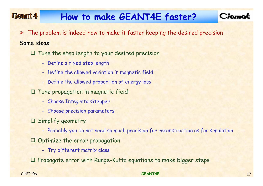#### Geamt 4 **How to make GEANT4E faster?**

 $\triangleright$  The problem is indeed how to make it faster keeping the desired precision Some ideas:

Tune the step length to your desired precision

- Define a fixed step length
- Define the allowed variation in magnetic field
- Define the allowed proportion of energy loss
- Tune propagation in magnetic field
	- Choose IntegratorStepper
	- Choose precision parameters
- Simplify geometry
	- Probably you do not need so much precision for reconstruction as for simulation
- Optimize the error propagation
	- Try different matrix class

**Q** Propagate error with Runge-Kutta equations to make bigger steps

CHEP '06 **GEANT4E**